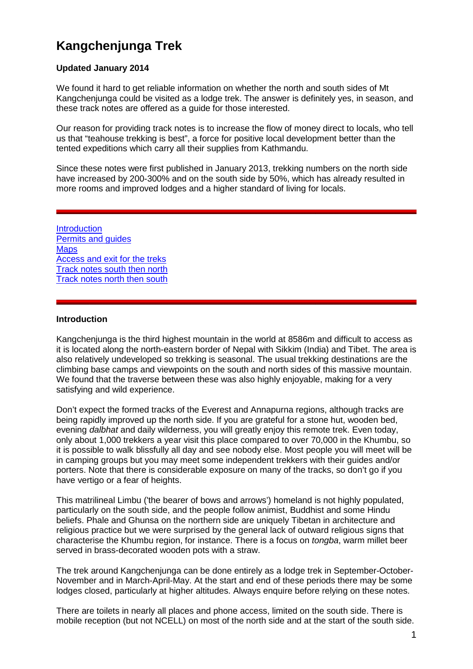# **Kangchenjunga Trek**

### **Updated January 2014**

We found it hard to get reliable information on whether the north and south sides of Mt Kangchenjunga could be visited as a lodge trek. The answer is definitely yes, in season, and these track notes are offered as a guide for those interested.

Our reason for providing track notes is to increase the flow of money direct to locals, who tell us that "teahouse trekking is best", a force for positive local development better than the tented expeditions which carry all their supplies from Kathmandu.

Since these notes were first published in January 2013, trekking numbers on the north side have increased by 200-300% and on the south side by 50%, which has already resulted in more rooms and improved lodges and a higher standard of living for locals.

**[Introduction](#page-0-0)** [Permits and guides](#page-1-0) **[Maps](#page-1-1)** [Access and exit for the treks](#page-2-0) [Track notes south then north](#page-5-0) [Track notes north then south](#page-14-0)

#### <span id="page-0-0"></span>**Introduction**

Kangchenjunga is the third highest mountain in the world at 8586m and difficult to access as it is located along the north-eastern border of Nepal with Sikkim (India) and Tibet. The area is also relatively undeveloped so trekking is seasonal. The usual trekking destinations are the climbing base camps and viewpoints on the south and north sides of this massive mountain. We found that the traverse between these was also highly enjoyable, making for a very satisfying and wild experience.

Don't expect the formed tracks of the Everest and Annapurna regions, although tracks are being rapidly improved up the north side. If you are grateful for a stone hut, wooden bed, evening *dalbhat* and daily wilderness, you will greatly enjoy this remote trek. Even today, only about 1,000 trekkers a year visit this place compared to over 70,000 in the Khumbu, so it is possible to walk blissfully all day and see nobody else. Most people you will meet will be in camping groups but you may meet some independent trekkers with their guides and/or porters. Note that there is considerable exposure on many of the tracks, so don't go if you have vertigo or a fear of heights.

This matrilineal Limbu ('the bearer of bows and arrows') homeland is not highly populated, particularly on the south side, and the people follow animist, Buddhist and some Hindu beliefs. Phale and Ghunsa on the northern side are uniquely Tibetan in architecture and religious practice but we were surprised by the general lack of outward religious signs that characterise the Khumbu region, for instance. There is a focus on *tongba*, warm millet beer served in brass-decorated wooden pots with a straw.

The trek around Kangchenjunga can be done entirely as a lodge trek in September-October-November and in March-April-May. At the start and end of these periods there may be some lodges closed, particularly at higher altitudes. Always enquire before relying on these notes.

There are toilets in nearly all places and phone access, limited on the south side. There is mobile reception (but not NCELL) on most of the north side and at the start of the south side.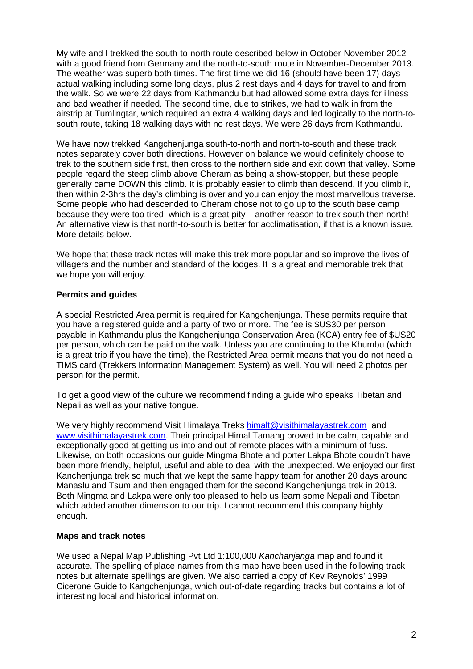My wife and I trekked the south-to-north route described below in October-November 2012 with a good friend from Germany and the north-to-south route in November-December 2013. The weather was superb both times. The first time we did 16 (should have been 17) days actual walking including some long days, plus 2 rest days and 4 days for travel to and from the walk. So we were 22 days from Kathmandu but had allowed some extra days for illness and bad weather if needed. The second time, due to strikes, we had to walk in from the airstrip at Tumlingtar, which required an extra 4 walking days and led logically to the north-tosouth route, taking 18 walking days with no rest days. We were 26 days from Kathmandu.

We have now trekked Kangchenjunga south-to-north and north-to-south and these track notes separately cover both directions. However on balance we would definitely choose to trek to the southern side first, then cross to the northern side and exit down that valley. Some people regard the steep climb above Cheram as being a show-stopper, but these people generally came DOWN this climb. It is probably easier to climb than descend. If you climb it, then within 2-3hrs the day's climbing is over and you can enjoy the most marvellous traverse. Some people who had descended to Cheram chose not to go up to the south base camp because they were too tired, which is a great pity – another reason to trek south then north! An alternative view is that north-to-south is better for acclimatisation, if that is a known issue. More details below.

We hope that these track notes will make this trek more popular and so improve the lives of villagers and the number and standard of the lodges. It is a great and memorable trek that we hope you will enjoy.

#### <span id="page-1-0"></span>**Permits and guides**

A special Restricted Area permit is required for Kangchenjunga. These permits require that you have a registered guide and a party of two or more. The fee is \$US30 per person payable in Kathmandu plus the Kangchenjunga Conservation Area (KCA) entry fee of \$US20 per person, which can be paid on the walk. Unless you are continuing to the Khumbu (which is a great trip if you have the time), the Restricted Area permit means that you do not need a TIMS card (Trekkers Information Management System) as well. You will need 2 photos per person for the permit.

To get a good view of the culture we recommend finding a guide who speaks Tibetan and Nepali as well as your native tongue.

We very highly recommend Visit Himalaya Treks [himalt@visithimalayastrek.com](mailto:himalt@visithimalayastrek.com) and [www.visithimalayastrek.com.](http://www.visithimalayastrek.com/) Their principal Himal Tamang proved to be calm, capable and exceptionally good at getting us into and out of remote places with a minimum of fuss. Likewise, on both occasions our guide Mingma Bhote and porter Lakpa Bhote couldn't have been more friendly, helpful, useful and able to deal with the unexpected. We enjoyed our first Kanchenjunga trek so much that we kept the same happy team for another 20 days around Manaslu and Tsum and then engaged them for the second Kangchenjunga trek in 2013. Both Mingma and Lakpa were only too pleased to help us learn some Nepali and Tibetan which added another dimension to our trip. I cannot recommend this company highly enough.

#### <span id="page-1-1"></span>**Maps and track notes**

We used a Nepal Map Publishing Pvt Ltd 1:100,000 *Kanchanjanga* map and found it accurate. The spelling of place names from this map have been used in the following track notes but alternate spellings are given. We also carried a copy of Kev Reynolds' 1999 Cicerone Guide to Kangchenjunga, which out-of-date regarding tracks but contains a lot of interesting local and historical information.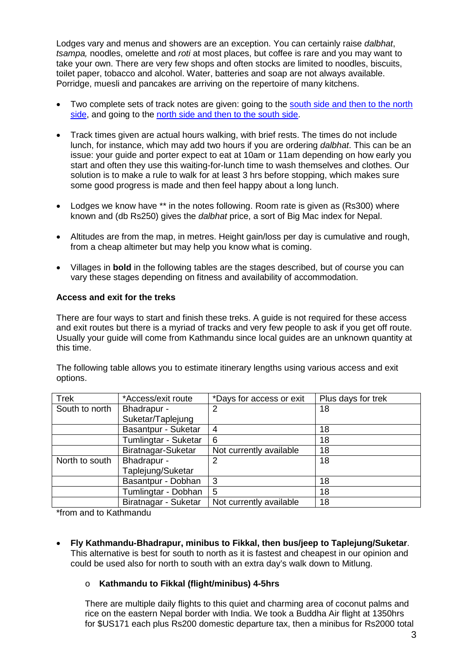Lodges vary and menus and showers are an exception. You can certainly raise *dalbhat*, *tsampa,* noodles, omelette and *roti* at most places, but coffee is rare and you may want to take your own. There are very few shops and often stocks are limited to noodles, biscuits, toilet paper, tobacco and alcohol. Water, batteries and soap are not always available. Porridge, muesli and pancakes are arriving on the repertoire of many kitchens.

- Two complete sets of track notes are given: going to the [south side and then to the north](#page-5-0)  [side,](#page-5-0) and going to the [north side and then to the south side.](#page-14-0)
- Track times given are actual hours walking, with brief rests. The times do not include lunch, for instance, which may add two hours if you are ordering *dalbhat*. This can be an issue: your guide and porter expect to eat at 10am or 11am depending on how early you start and often they use this waiting-for-lunch time to wash themselves and clothes. Our solution is to make a rule to walk for at least 3 hrs before stopping, which makes sure some good progress is made and then feel happy about a long lunch.
- Lodges we know have \*\* in the notes following. Room rate is given as (Rs300) where known and (db Rs250) gives the *dalbhat* price, a sort of Big Mac index for Nepal.
- Altitudes are from the map, in metres. Height gain/loss per day is cumulative and rough, from a cheap altimeter but may help you know what is coming.
- Villages in **bold** in the following tables are the stages described, but of course you can vary these stages depending on fitness and availability of accommodation.

#### <span id="page-2-0"></span>**Access and exit for the treks**

There are four ways to start and finish these treks. A guide is not required for these access and exit routes but there is a myriad of tracks and very few people to ask if you get off route. Usually your guide will come from Kathmandu since local guides are an unknown quantity at this time.

Trek  $*$ Access/exit route  $*$ Days for access or exit Plus days for trek South to north  $\vert$  Bhadrapur -Suketar/Taplejung 2 | 18 Basantpur - Suketar | 4 18 Tumlingtar - Suketar | 6<br>Biratnagar-Suketar | Not currently available | 18 Not currently available North to south  $\vert$  Bhadrapur -Taplejung/Suketar 2 18 Basantpur - Dobhan 3 18 Tumlingtar - Dobhan 5 18 Biratnagar - Suketar | Not currently available | 18

The following table allows you to estimate itinerary lengths using various access and exit options.

\*from and to Kathmandu

• **Fly Kathmandu-Bhadrapur, minibus to Fikkal, then bus/jeep to Taplejung/Suketar**. This alternative is best for south to north as it is fastest and cheapest in our opinion and could be used also for north to south with an extra day's walk down to Mitlung.

#### o **Kathmandu to Fikkal (flight/minibus) 4-5hrs**

There are multiple daily flights to this quiet and charming area of coconut palms and rice on the eastern Nepal border with India. We took a Buddha Air flight at 1350hrs for \$US171 each plus Rs200 domestic departure tax, then a minibus for Rs2000 total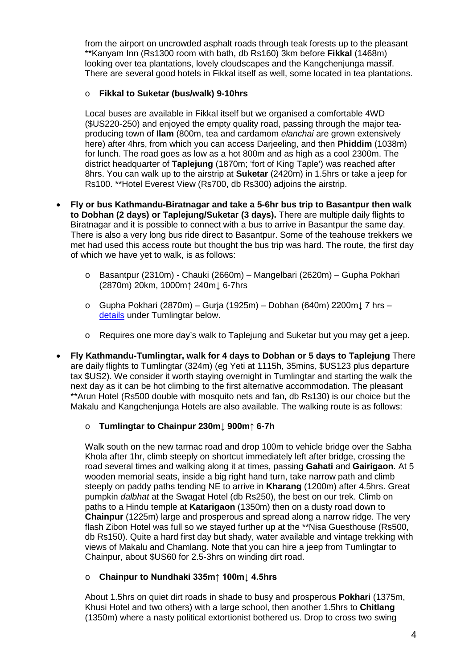from the airport on uncrowded asphalt roads through teak forests up to the pleasant \*\*Kanyam Inn (Rs1300 room with bath, db Rs160) 3km before **Fikkal** (1468m) looking over tea plantations, lovely cloudscapes and the Kangchenjunga massif. There are several good hotels in Fikkal itself as well, some located in tea plantations.

## o **Fikkal to Suketar (bus/walk) 9-10hrs**

Local buses are available in Fikkal itself but we organised a comfortable 4WD (\$US220-250) and enjoyed the empty quality road, passing through the major teaproducing town of **Ilam** (800m, tea and cardamom *elanchai* are grown extensively here) after 4hrs, from which you can access Darjeeling, and then **Phiddim** (1038m) for lunch. The road goes as low as a hot 800m and as high as a cool 2300m. The district headquarter of **Taplejung** (1870m; 'fort of King Taple') was reached after 8hrs. You can walk up to the airstrip at **Suketar** (2420m) in 1.5hrs or take a jeep for Rs100. \*\*Hotel Everest View (Rs700, db Rs300) adjoins the airstrip.

- **Fly or bus Kathmandu-Biratnagar and take a 5-6hr bus trip to Basantpur then walk to Dobhan (2 days) or Taplejung/Suketar (3 days).** There are multiple daily flights to Biratnagar and it is possible to connect with a bus to arrive in Basantpur the same day. There is also a very long bus ride direct to Basantpur. Some of the teahouse trekkers we met had used this access route but thought the bus trip was hard. The route, the first day of which we have yet to walk, is as follows:
	- o Basantpur (2310m) Chauki (2660m) Mangelbari (2620m) Gupha Pokhari (2870m) 20km, 1000m↑ 240m↓ 6-7hrs
	- o Gupha Pokhari (2870m) Gurja (1925m) Dobhan (640m) 2200m↓ 7 hrs [details](#page-4-0) under Tumlingtar below.
	- o Requires one more day's walk to Taplejung and Suketar but you may get a jeep.
- **Fly Kathmandu-Tumlingtar, walk for 4 days to Dobhan or 5 days to Taplejung** There are daily flights to Tumlingtar (324m) (eg Yeti at 1115h, 35mins, \$US123 plus departure tax \$US2). We consider it worth staying overnight in Tumlingtar and starting the walk the next day as it can be hot climbing to the first alternative accommodation. The pleasant \*\*Arun Hotel (Rs500 double with mosquito nets and fan, db Rs130) is our choice but the Makalu and Kangchenjunga Hotels are also available. The walking route is as follows:

## o **Tumlingtar to Chainpur 230m↓ 900m↑ 6-7h**

Walk south on the new tarmac road and drop 100m to vehicle bridge over the Sabha Khola after 1hr, climb steeply on shortcut immediately left after bridge, crossing the road several times and walking along it at times, passing **Gahati** and **Gairigaon**. At 5 wooden memorial seats, inside a big right hand turn, take narrow path and climb steeply on paddy paths tending NE to arrive in **Kharang** (1200m) after 4.5hrs. Great pumpkin *dalbhat* at the Swagat Hotel (db Rs250), the best on our trek. Climb on paths to a Hindu temple at **Katarigaon** (1350m) then on a dusty road down to **Chainpur** (1225m) large and prosperous and spread along a narrow ridge. The very flash Zibon Hotel was full so we stayed further up at the \*\*Nisa Guesthouse (Rs500, db Rs150). Quite a hard first day but shady, water available and vintage trekking with views of Makalu and Chamlang. Note that you can hire a jeep from Tumlingtar to Chainpur, about \$US60 for 2.5-3hrs on winding dirt road.

## o **Chainpur to Nundhaki 335m↑ 100m↓ 4.5hrs**

About 1.5hrs on quiet dirt roads in shade to busy and prosperous **Pokhari** (1375m, Khusi Hotel and two others) with a large school, then another 1.5hrs to **Chitlang** (1350m) where a nasty political extortionist bothered us. Drop to cross two swing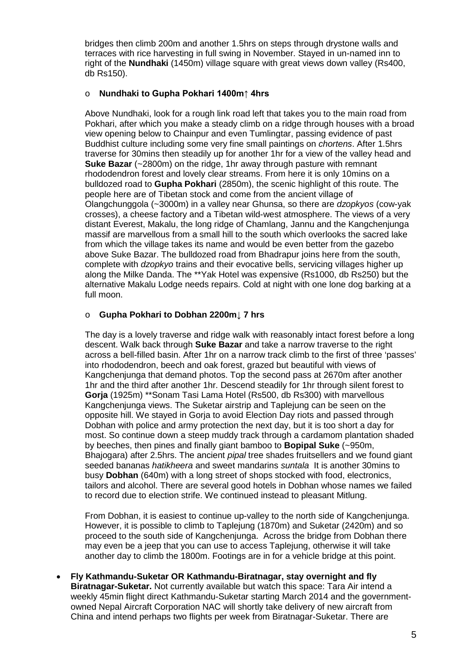bridges then climb 200m and another 1.5hrs on steps through drystone walls and terraces with rice harvesting in full swing in November. Stayed in un-named inn to right of the **Nundhaki** (1450m) village square with great views down valley (Rs400, db Rs150).

## o **Nundhaki to Gupha Pokhari 1400m↑ 4hrs**

Above Nundhaki, look for a rough link road left that takes you to the main road from Pokhari, after which you make a steady climb on a ridge through houses with a broad view opening below to Chainpur and even Tumlingtar, passing evidence of past Buddhist culture including some very fine small paintings on *chortens*. After 1.5hrs traverse for 30mins then steadily up for another 1hr for a view of the valley head and **Suke Bazar** (~2800m) on the ridge, 1hr away through pasture with remnant rhododendron forest and lovely clear streams. From here it is only 10mins on a bulldozed road to **Gupha Pokhari** (2850m), the scenic highlight of this route. The people here are of Tibetan stock and come from the ancient village of Olangchunggola (~3000m) in a valley near Ghunsa, so there are *dzopkyos* (cow-yak crosses), a cheese factory and a Tibetan wild-west atmosphere. The views of a very distant Everest, Makalu, the long ridge of Chamlang, Jannu and the Kangchenjunga massif are marvellous from a small hill to the south which overlooks the sacred lake from which the village takes its name and would be even better from the gazebo above Suke Bazar. The bulldozed road from Bhadrapur joins here from the south, complete with *dzopkyo* trains and their evocative bells, servicing villages higher up along the Milke Danda. The \*\*Yak Hotel was expensive (Rs1000, db Rs250) but the alternative Makalu Lodge needs repairs. Cold at night with one lone dog barking at a full moon.

### <span id="page-4-0"></span>o **Gupha Pokhari to Dobhan 2200m↓ 7 hrs**

The day is a lovely traverse and ridge walk with reasonably intact forest before a long descent. Walk back through **Suke Bazar** and take a narrow traverse to the right across a bell-filled basin. After 1hr on a narrow track climb to the first of three 'passes' into rhododendron, beech and oak forest, grazed but beautiful with views of Kangchenjunga that demand photos. Top the second pass at 2670m after another 1hr and the third after another 1hr. Descend steadily for 1hr through silent forest to **Gorja** (1925m) \*\*Sonam Tasi Lama Hotel (Rs500, db Rs300) with marvellous Kangchenjunga views. The Suketar airstrip and Taplejung can be seen on the opposite hill. We stayed in Gorja to avoid Election Day riots and passed through Dobhan with police and army protection the next day, but it is too short a day for most. So continue down a steep muddy track through a cardamom plantation shaded by beeches, then pines and finally giant bamboo to **Bopipal Suke** (~950m, Bhajogara) after 2.5hrs. The ancient *pipal* tree shades fruitsellers and we found giant seeded bananas *hatikheera* and sweet mandarins *suntala* It is another 30mins to busy **Dobhan** (640m) with a long street of shops stocked with food, electronics, tailors and alcohol. There are several good hotels in Dobhan whose names we failed to record due to election strife. We continued instead to pleasant Mitlung.

From Dobhan, it is easiest to continue up-valley to the north side of Kangchenjunga. However, it is possible to climb to Taplejung (1870m) and Suketar (2420m) and so proceed to the south side of Kangchenjunga. Across the bridge from Dobhan there may even be a jeep that you can use to access Taplejung, otherwise it will take another day to climb the 1800m. Footings are in for a vehicle bridge at this point.

• **Fly Kathmandu-Suketar OR Kathmandu-Biratnagar, stay overnight and fly Biratnagar-Suketar.** Not currently available but watch this space: Tara Air intend a weekly 45min flight direct Kathmandu-Suketar starting March 2014 and the governmentowned Nepal Aircraft Corporation NAC will shortly take delivery of new aircraft from China and intend perhaps two flights per week from Biratnagar-Suketar. There are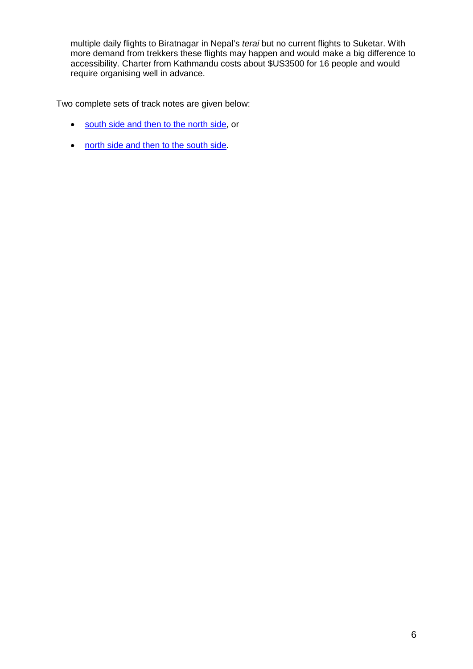multiple daily flights to Biratnagar in Nepal's *terai* but no current flights to Suketar. With more demand from trekkers these flights may happen and would make a big difference to accessibility. Charter from Kathmandu costs about \$US3500 for 16 people and would require organising well in advance.

Two complete sets of track notes are given below:

- [south side and then to the north side,](#page-5-0) or
- <span id="page-5-0"></span>• [north side and then to the south side.](#page-14-0)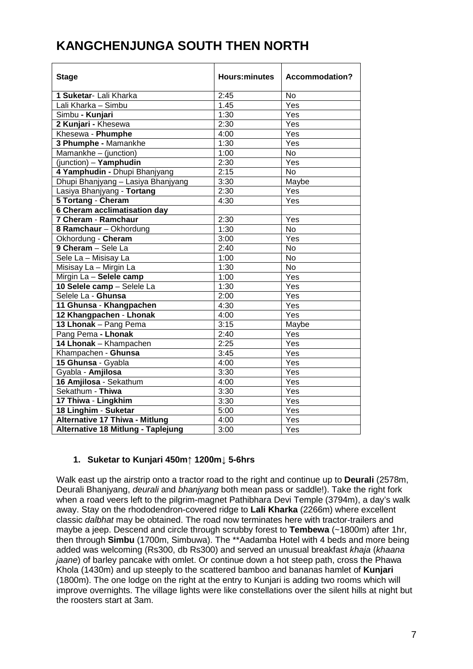# **KANGCHENJUNGA SOUTH THEN NORTH**

| <b>Stage</b>                          | <b>Hours:minutes</b> | <b>Accommodation?</b> |
|---------------------------------------|----------------------|-----------------------|
| 1 Suketar- Lali Kharka                | 2:45                 | No                    |
| Lali Kharka - Simbu                   | 1.45                 | Yes                   |
| Simbu - Kunjari                       | 1:30                 | Yes                   |
| 2 Kunjari - Khesewa                   | 2:30                 | Yes                   |
| Khesewa - Phumphe                     | 4:00                 | Yes                   |
| 3 Phumphe - Mamankhe                  | 1:30                 | Yes                   |
| Mamankhe - (junction)                 | 1:00                 | <b>No</b>             |
| $(iunction) - Yamphudin$              | 2:30                 | Yes                   |
| 4 Yamphudin - Dhupi Bhanjyang         | 2:15                 | <b>No</b>             |
| Dhupi Bhanjyang - Lasiya Bhanjyang    | 3:30                 | Maybe                 |
| Lasiya Bhanjyang - Tortang            | 2:30                 | Yes                   |
| 5 Tortang - Cheram                    | 4:30                 | Yes                   |
| 6 Cheram acclimatisation day          |                      |                       |
| 7 Cheram - Ramchaur                   | 2:30                 | Yes                   |
| 8 Ramchaur - Okhordung                | 1:30                 | $\overline{N}$        |
| Okhordung - Cheram                    | 3:00                 | Yes                   |
| 9 Cheram - Sele La                    | 2:40                 | <b>No</b>             |
| Sele La - Misisay La                  | 1:00                 | <b>No</b>             |
| Misisay La - Mirgin La                | 1:30                 | $\overline{No}$       |
| Mirgin La - Selele camp               | 1:00                 | $\overline{Yes}$      |
| 10 Selele camp - Selele La            | 1:30                 | $\overline{Yes}$      |
| Selele La - Ghunsa                    | 2:00                 | Yes                   |
| 11 Ghunsa - Khangpachen               | 4:30                 | Yes                   |
| 12 Khangpachen - Lhonak               | 4:00                 | Yes                   |
| 13 Lhonak - Pang Pema                 | 3:15                 | Maybe                 |
| Pang Pema - Lhonak                    | 2:40                 | Yes                   |
| 14 Lhonak - Khampachen                | 2:25                 | Yes                   |
| Khampachen - Ghunsa                   | 3:45                 | Yes                   |
| 15 Ghunsa - Gyabla                    | 4:00                 | Yes                   |
| Gyabla - Amjilosa                     | 3:30                 | Yes                   |
| 16 Amjilosa - Sekathum                | 4:00                 | $\overline{Yes}$      |
| Sekathum - Thiwa                      | 3:30                 | Yes                   |
| 17 Thiwa - Lingkhim                   | 3:30                 | Yes                   |
| 18 Linghim - Suketar                  | 5:00                 | Yes                   |
| <b>Alternative 17 Thiwa - Mitlung</b> | 4:00                 | Yes                   |
| Alternative 18 Mitlung - Taplejung    | 3:00                 | Yes                   |

## **1. Suketar to Kunjari 450m↑ 1200m↓ 5-6hrs**

Walk east up the airstrip onto a tractor road to the right and continue up to **Deurali** (2578m, Deurali Bhanjyang, *deurali* and *bhanjyang* both mean pass or saddle!). Take the right fork when a road veers left to the pilgrim-magnet Pathibhara Devi Temple (3794m), a day's walk away. Stay on the rhododendron-covered ridge to **Lali Kharka** (2266m) where excellent classic *dalbhat* may be obtained. The road now terminates here with tractor-trailers and maybe a jeep. Descend and circle through scrubby forest to **Tembewa** (~1800m) after 1hr, then through **Simbu** (1700m, Simbuwa). The \*\*Aadamba Hotel with 4 beds and more being added was welcoming (Rs300, db Rs300) and served an unusual breakfast *khaja* (*khaana jaane*) of barley pancake with omlet. Or continue down a hot steep path, cross the Phawa Khola (1430m) and up steeply to the scattered bamboo and bananas hamlet of **Kunjari** (1800m). The one lodge on the right at the entry to Kunjari is adding two rooms which will improve overnights. The village lights were like constellations over the silent hills at night but the roosters start at 3am.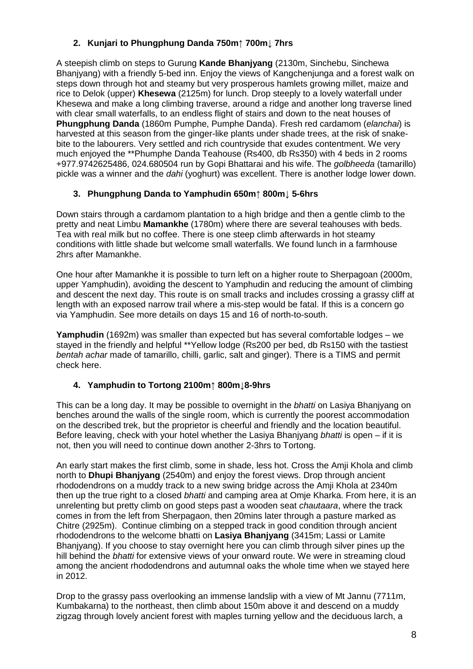# **2. Kunjari to Phungphung Danda 750m↑ 700m↓ 7hrs**

A steepish climb on steps to Gurung **Kande Bhanjyang** (2130m, Sinchebu, Sinchewa Bhanjyang) with a friendly 5-bed inn. Enjoy the views of Kangchenjunga and a forest walk on steps down through hot and steamy but very prosperous hamlets growing millet, maize and rice to Delok (upper) **Khesewa** (2125m) for lunch. Drop steeply to a lovely waterfall under Khesewa and make a long climbing traverse, around a ridge and another long traverse lined with clear small waterfalls, to an endless flight of stairs and down to the neat houses of **Phungphung Danda** (1860m Pumphe, Pumphe Danda). Fresh red cardamom (*elanchai*) is harvested at this season from the ginger-like plants under shade trees, at the risk of snakebite to the labourers. Very settled and rich countryside that exudes contentment. We very much enjoyed the \*\*Phumphe Danda Teahouse (Rs400, db Rs350) with 4 beds in 2 rooms +977.9742625486, 024.680504 run by Gopi Bhattarai and his wife. The *golbheeda* (tamarillo) pickle was a winner and the *dahi* (yoghurt) was excellent. There is another lodge lower down.

## **3. Phungphung Danda to Yamphudin 650m↑ 800m↓ 5-6hrs**

Down stairs through a cardamom plantation to a high bridge and then a gentle climb to the pretty and neat Limbu **Mamankhe** (1780m) where there are several teahouses with beds. Tea with real milk but no coffee. There is one steep climb afterwards in hot steamy conditions with little shade but welcome small waterfalls. We found lunch in a farmhouse 2hrs after Mamankhe.

One hour after Mamankhe it is possible to turn left on a higher route to Sherpagoan (2000m, upper Yamphudin), avoiding the descent to Yamphudin and reducing the amount of climbing and descent the next day. This route is on small tracks and includes crossing a grassy cliff at length with an exposed narrow trail where a mis-step would be fatal. If this is a concern go via Yamphudin. See more details on days 15 and 16 of north-to-south.

**Yamphudin** (1692m) was smaller than expected but has several comfortable lodges – we stayed in the friendly and helpful \*\*Yellow lodge (Rs200 per bed, db Rs150 with the tastiest *bentah achar* made of tamarillo, chilli, garlic, salt and ginger). There is a TIMS and permit check here.

## **4. Yamphudin to Tortong 2100m↑ 800m↓8-9hrs**

This can be a long day. It may be possible to overnight in the *bhatti* on Lasiya Bhanjyang on benches around the walls of the single room, which is currently the poorest accommodation on the described trek, but the proprietor is cheerful and friendly and the location beautiful. Before leaving, check with your hotel whether the Lasiya Bhanjyang *bhatti* is open – if it is not, then you will need to continue down another 2-3hrs to Tortong.

An early start makes the first climb, some in shade, less hot. Cross the Amji Khola and climb north to **Dhupi Bhanjyang** (2540m) and enjoy the forest views. Drop through ancient rhododendrons on a muddy track to a new swing bridge across the Amji Khola at 2340m then up the true right to a closed *bhatti* and camping area at Omje Kharka. From here, it is an unrelenting but pretty climb on good steps past a wooden seat *chautaara*, where the track comes in from the left from Sherpagaon, then 20mins later through a pasture marked as Chitre (2925m). Continue climbing on a stepped track in good condition through ancient rhododendrons to the welcome bhatti on **Lasiya Bhanjyang** (3415m; Lassi or Lamite Bhanjyang). If you choose to stay overnight here you can climb through silver pines up the hill behind the *bhatti* for extensive views of your onward route. We were in streaming cloud among the ancient rhododendrons and autumnal oaks the whole time when we stayed here in 2012.

Drop to the grassy pass overlooking an immense landslip with a view of Mt Jannu (7711m, Kumbakarna) to the northeast, then climb about 150m above it and descend on a muddy zigzag through lovely ancient forest with maples turning yellow and the deciduous larch, a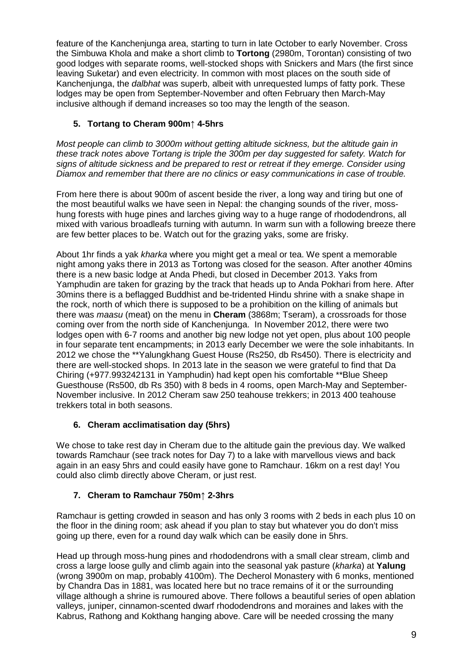feature of the Kanchenjunga area, starting to turn in late October to early November. Cross the Simbuwa Khola and make a short climb to **Tortong** (2980m, Torontan) consisting of two good lodges with separate rooms, well-stocked shops with Snickers and Mars (the first since leaving Suketar) and even electricity. In common with most places on the south side of Kanchenjunga, the *dalbhat* was superb, albeit with unrequested lumps of fatty pork. These lodges may be open from September-November and often February then March-May inclusive although if demand increases so too may the length of the season.

# **5. Tortang to Cheram 900m↑ 4-5hrs**

*Most people can climb to 3000m without getting altitude sickness, but the altitude gain in these track notes above Tortang is triple the 300m per day suggested for safety. Watch for signs of altitude sickness and be prepared to rest or retreat if they emerge. Consider using Diamox and remember that there are no clinics or easy communications in case of trouble.*

From here there is about 900m of ascent beside the river, a long way and tiring but one of the most beautiful walks we have seen in Nepal: the changing sounds of the river, mosshung forests with huge pines and larches giving way to a huge range of rhododendrons, all mixed with various broadleafs turning with autumn. In warm sun with a following breeze there are few better places to be. Watch out for the grazing yaks, some are frisky.

About 1hr finds a yak *kharka* where you might get a meal or tea. We spent a memorable night among yaks there in 2013 as Tortong was closed for the season. After another 40mins there is a new basic lodge at Anda Phedi, but closed in December 2013. Yaks from Yamphudin are taken for grazing by the track that heads up to Anda Pokhari from here. After 30mins there is a beflagged Buddhist and be-tridented Hindu shrine with a snake shape in the rock, north of which there is supposed to be a prohibition on the killing of animals but there was *maasu* (meat) on the menu in **Cheram** (3868m; Tseram), a crossroads for those coming over from the north side of Kanchenjunga. In November 2012, there were two lodges open with 6-7 rooms and another big new lodge not yet open, plus about 100 people in four separate tent encampments; in 2013 early December we were the sole inhabitants. In 2012 we chose the \*\*Yalungkhang Guest House (Rs250, db Rs450). There is electricity and there are well-stocked shops. In 2013 late in the season we were grateful to find that Da Chiring (+977.993242131 in Yamphudin) had kept open his comfortable \*\*Blue Sheep Guesthouse (Rs500, db Rs 350) with 8 beds in 4 rooms, open March-May and September-November inclusive. In 2012 Cheram saw 250 teahouse trekkers; in 2013 400 teahouse trekkers total in both seasons.

# **6. Cheram acclimatisation day (5hrs)**

We chose to take rest day in Cheram due to the altitude gain the previous day. We walked towards Ramchaur (see track notes for Day 7) to a lake with marvellous views and back again in an easy 5hrs and could easily have gone to Ramchaur. 16km on a rest day! You could also climb directly above Cheram, or just rest.

# **7. Cheram to Ramchaur 750m↑ 2-3hrs**

Ramchaur is getting crowded in season and has only 3 rooms with 2 beds in each plus 10 on the floor in the dining room; ask ahead if you plan to stay but whatever you do don't miss going up there, even for a round day walk which can be easily done in 5hrs.

Head up through moss-hung pines and rhododendrons with a small clear stream, climb and cross a large loose gully and climb again into the seasonal yak pasture (*kharka*) at **Yalung** (wrong 3900m on map, probably 4100m). The Decherol Monastery with 6 monks, mentioned by Chandra Das in 1881, was located here but no trace remains of it or the surrounding village although a shrine is rumoured above. There follows a beautiful series of open ablation valleys, juniper, cinnamon-scented dwarf rhododendrons and moraines and lakes with the Kabrus, Rathong and Kokthang hanging above. Care will be needed crossing the many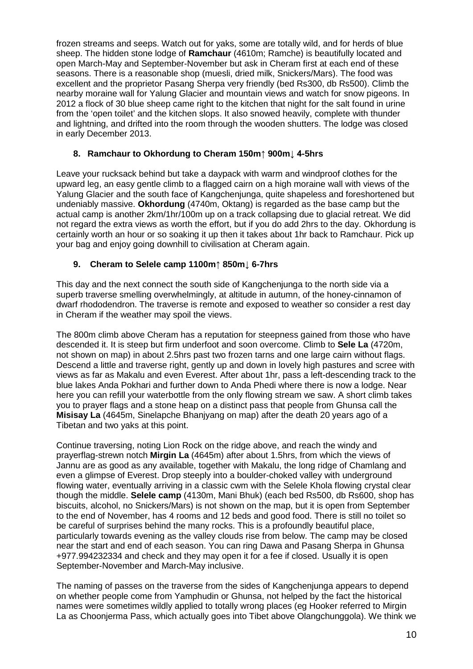frozen streams and seeps. Watch out for yaks, some are totally wild, and for herds of blue sheep. The hidden stone lodge of **Ramchaur** (4610m; Ramche) is beautifully located and open March-May and September-November but ask in Cheram first at each end of these seasons. There is a reasonable shop (muesli, dried milk, Snickers/Mars). The food was excellent and the proprietor Pasang Sherpa very friendly (bed Rs300, db Rs500). Climb the nearby moraine wall for Yalung Glacier and mountain views and watch for snow pigeons. In 2012 a flock of 30 blue sheep came right to the kitchen that night for the salt found in urine from the 'open toilet' and the kitchen slops. It also snowed heavily, complete with thunder and lightning, and drifted into the room through the wooden shutters. The lodge was closed in early December 2013.

## **8. Ramchaur to Okhordung to Cheram 150m↑ 900m↓ 4-5hrs**

Leave your rucksack behind but take a daypack with warm and windproof clothes for the upward leg, an easy gentle climb to a flagged cairn on a high moraine wall with views of the Yalung Glacier and the south face of Kangchenjunga, quite shapeless and foreshortened but undeniably massive. **Okhordung** (4740m, Oktang) is regarded as the base camp but the actual camp is another 2km/1hr/100m up on a track collapsing due to glacial retreat. We did not regard the extra views as worth the effort, but if you do add 2hrs to the day. Okhordung is certainly worth an hour or so soaking it up then it takes about 1hr back to Ramchaur. Pick up your bag and enjoy going downhill to civilisation at Cheram again.

### **9. Cheram to Selele camp 1100m↑ 850m↓ 6-7hrs**

This day and the next connect the south side of Kangchenjunga to the north side via a superb traverse smelling overwhelmingly, at altitude in autumn, of the honey-cinnamon of dwarf rhododendron. The traverse is remote and exposed to weather so consider a rest day in Cheram if the weather may spoil the views.

The 800m climb above Cheram has a reputation for steepness gained from those who have descended it. It is steep but firm underfoot and soon overcome. Climb to **Sele La** (4720m, not shown on map) in about 2.5hrs past two frozen tarns and one large cairn without flags. Descend a little and traverse right, gently up and down in lovely high pastures and scree with views as far as Makalu and even Everest. After about 1hr, pass a left-descending track to the blue lakes Anda Pokhari and further down to Anda Phedi where there is now a lodge. Near here you can refill your waterbottle from the only flowing stream we saw. A short climb takes you to prayer flags and a stone heap on a distinct pass that people from Ghunsa call the **Misisay La** (4645m, Sinelapche Bhanjyang on map) after the death 20 years ago of a Tibetan and two yaks at this point.

Continue traversing, noting Lion Rock on the ridge above, and reach the windy and prayerflag-strewn notch **Mirgin La** (4645m) after about 1.5hrs, from which the views of Jannu are as good as any available, together with Makalu, the long ridge of Chamlang and even a glimpse of Everest. Drop steeply into a boulder-choked valley with underground flowing water, eventually arriving in a classic cwm with the Selele Khola flowing crystal clear though the middle. **Selele camp** (4130m, Mani Bhuk) (each bed Rs500, db Rs600, shop has biscuits, alcohol, no Snickers/Mars) is not shown on the map, but it is open from September to the end of November, has 4 rooms and 12 beds and good food. There is still no toilet so be careful of surprises behind the many rocks. This is a profoundly beautiful place, particularly towards evening as the valley clouds rise from below. The camp may be closed near the start and end of each season. You can ring Dawa and Pasang Sherpa in Ghunsa +977.994232334 and check and they may open it for a fee if closed. Usually it is open September-November and March-May inclusive.

The naming of passes on the traverse from the sides of Kangchenjunga appears to depend on whether people come from Yamphudin or Ghunsa, not helped by the fact the historical names were sometimes wildly applied to totally wrong places (eg Hooker referred to Mirgin La as Choonjerma Pass, which actually goes into Tibet above Olangchunggola). We think we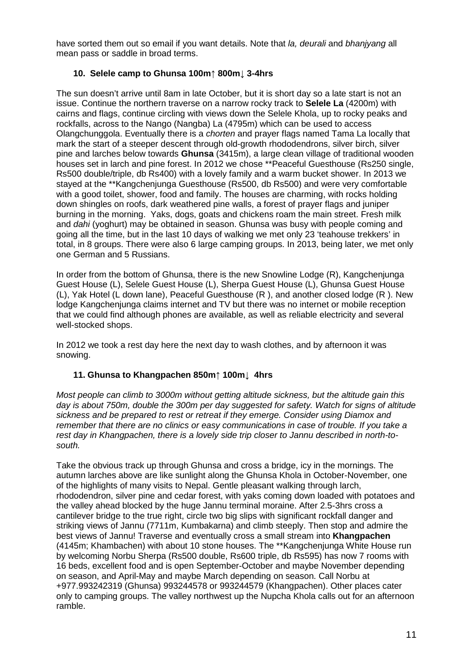have sorted them out so email if you want details. Note that *la, deurali* and *bhanjyang* all mean pass or saddle in broad terms.

## **10. Selele camp to Ghunsa 100m↑ 800m↓ 3-4hrs**

The sun doesn't arrive until 8am in late October, but it is short day so a late start is not an issue. Continue the northern traverse on a narrow rocky track to **Selele La** (4200m) with cairns and flags, continue circling with views down the Selele Khola, up to rocky peaks and rockfalls, across to the Nango (Nangba) La (4795m) which can be used to access Olangchunggola. Eventually there is a *chorten* and prayer flags named Tama La locally that mark the start of a steeper descent through old-growth rhododendrons, silver birch, silver pine and larches below towards **Ghunsa** (3415m), a large clean village of traditional wooden houses set in larch and pine forest. In 2012 we chose \*\*Peaceful Guesthouse (Rs250 single, Rs500 double/triple, db Rs400) with a lovely family and a warm bucket shower. In 2013 we stayed at the \*\*Kangchenjunga Guesthouse (Rs500, db Rs500) and were very comfortable with a good toilet, shower, food and family. The houses are charming, with rocks holding down shingles on roofs, dark weathered pine walls, a forest of prayer flags and juniper burning in the morning. Yaks, dogs, goats and chickens roam the main street. Fresh milk and *dahi* (yoghurt) may be obtained in season. Ghunsa was busy with people coming and going all the time, but in the last 10 days of walking we met only 23 'teahouse trekkers' in total, in 8 groups. There were also 6 large camping groups. In 2013, being later, we met only one German and 5 Russians.

In order from the bottom of Ghunsa, there is the new Snowline Lodge (R), Kangchenjunga Guest House (L), Selele Guest House (L), Sherpa Guest House (L), Ghunsa Guest House (L), Yak Hotel (L down lane), Peaceful Guesthouse (R ), and another closed lodge (R ). New lodge Kangchenjunga claims internet and TV but there was no internet or mobile reception that we could find although phones are available, as well as reliable electricity and several well-stocked shops.

In 2012 we took a rest day here the next day to wash clothes, and by afternoon it was snowing.

## **11. Ghunsa to Khangpachen 850m↑ 100m↓ 4hrs**

*Most people can climb to 3000m without getting altitude sickness, but the altitude gain this day is about 750m, double the 300m per day suggested for safety. Watch for signs of altitude sickness and be prepared to rest or retreat if they emerge. Consider using Diamox and remember that there are no clinics or easy communications in case of trouble. If you take a rest day in Khangpachen, there is a lovely side trip closer to Jannu described in north-tosouth.*

Take the obvious track up through Ghunsa and cross a bridge, icy in the mornings. The autumn larches above are like sunlight along the Ghunsa Khola in October-November, one of the highlights of many visits to Nepal. Gentle pleasant walking through larch, rhododendron, silver pine and cedar forest, with yaks coming down loaded with potatoes and the valley ahead blocked by the huge Jannu terminal moraine. After 2.5-3hrs cross a cantilever bridge to the true right, circle two big slips with significant rockfall danger and striking views of Jannu (7711m, Kumbakarna) and climb steeply. Then stop and admire the best views of Jannu! Traverse and eventually cross a small stream into **Khangpachen** (4145m; Khambachen) with about 10 stone houses. The \*\*Kangchenjunga White House run by welcoming Norbu Sherpa (Rs500 double, Rs600 triple, db Rs595) has now 7 rooms with 16 beds, excellent food and is open September-October and maybe November depending on season, and April-May and maybe March depending on season. Call Norbu at +977.993242319 (Ghunsa) 993244578 or 993244579 (Khangpachen). Other places cater only to camping groups. The valley northwest up the Nupcha Khola calls out for an afternoon ramble.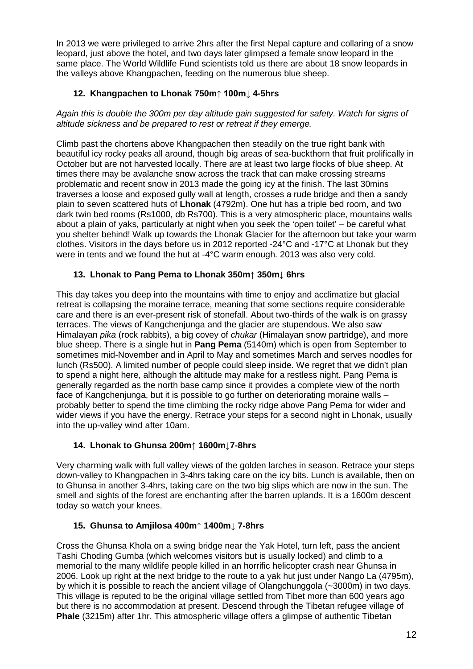In 2013 we were privileged to arrive 2hrs after the first Nepal capture and collaring of a snow leopard, just above the hotel, and two days later glimpsed a female snow leopard in the same place. The World Wildlife Fund scientists told us there are about 18 snow leopards in the valleys above Khangpachen, feeding on the numerous blue sheep.

# **12. Khangpachen to Lhonak 750m↑ 100m↓ 4-5hrs**

*Again this is double the 300m per day altitude gain suggested for safety. Watch for signs of altitude sickness and be prepared to rest or retreat if they emerge.*

Climb past the chortens above Khangpachen then steadily on the true right bank with beautiful icy rocky peaks all around, though big areas of sea-buckthorn that fruit prolifically in October but are not harvested locally. There are at least two large flocks of blue sheep. At times there may be avalanche snow across the track that can make crossing streams problematic and recent snow in 2013 made the going icy at the finish. The last 30mins traverses a loose and exposed gully wall at length, crosses a rude bridge and then a sandy plain to seven scattered huts of **Lhonak** (4792m). One hut has a triple bed room, and two dark twin bed rooms (Rs1000, db Rs700). This is a very atmospheric place, mountains walls about a plain of yaks, particularly at night when you seek the 'open toilet' – be careful what you shelter behind! Walk up towards the Lhonak Glacier for the afternoon but take your warm clothes. Visitors in the days before us in 2012 reported -24°C and -17°C at Lhonak but they were in tents and we found the hut at -4°C warm enough. 2013 was also very cold.

# **13. Lhonak to Pang Pema to Lhonak 350m↑ 350m↓ 6hrs**

This day takes you deep into the mountains with time to enjoy and acclimatize but glacial retreat is collapsing the moraine terrace, meaning that some sections require considerable care and there is an ever-present risk of stonefall. About two-thirds of the walk is on grassy terraces. The views of Kangchenjunga and the glacier are stupendous. We also saw Himalayan *pika* (rock rabbits), a big covey of *chukar* (Himalayan snow partridge), and more blue sheep. There is a single hut in **Pang Pema** (5140m) which is open from September to sometimes mid-November and in April to May and sometimes March and serves noodles for lunch (Rs500). A limited number of people could sleep inside. We regret that we didn't plan to spend a night here, although the altitude may make for a restless night. Pang Pema is generally regarded as the north base camp since it provides a complete view of the north face of Kangchenjunga, but it is possible to go further on deteriorating moraine walls – probably better to spend the time climbing the rocky ridge above Pang Pema for wider and wider views if you have the energy. Retrace your steps for a second night in Lhonak, usually into the up-valley wind after 10am.

## **14. Lhonak to Ghunsa 200m↑ 1600m↓7-8hrs**

Very charming walk with full valley views of the golden larches in season. Retrace your steps down-valley to Khangpachen in 3-4hrs taking care on the icy bits. Lunch is available, then on to Ghunsa in another 3-4hrs, taking care on the two big slips which are now in the sun. The smell and sights of the forest are enchanting after the barren uplands. It is a 1600m descent today so watch your knees.

## **15. Ghunsa to Amjilosa 400m↑ 1400m↓ 7-8hrs**

Cross the Ghunsa Khola on a swing bridge near the Yak Hotel, turn left, pass the ancient Tashi Choding Gumba (which welcomes visitors but is usually locked) and climb to a memorial to the many wildlife people killed in an horrific helicopter crash near Ghunsa in 2006. Look up right at the next bridge to the route to a yak hut just under Nango La (4795m), by which it is possible to reach the ancient village of Olangchunggola (~3000m) in two days. This village is reputed to be the original village settled from Tibet more than 600 years ago but there is no accommodation at present. Descend through the Tibetan refugee village of **Phale** (3215m) after 1hr. This atmospheric village offers a glimpse of authentic Tibetan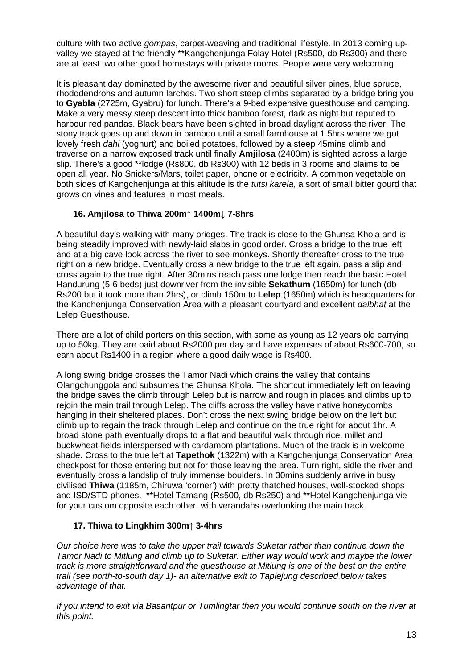culture with two active *gompas*, carpet-weaving and traditional lifestyle. In 2013 coming upvalley we stayed at the friendly \*\*Kangchenjunga Folay Hotel (Rs500, db Rs300) and there are at least two other good homestays with private rooms. People were very welcoming.

It is pleasant day dominated by the awesome river and beautiful silver pines, blue spruce, rhododendrons and autumn larches. Two short steep climbs separated by a bridge bring you to **Gyabla** (2725m, Gyabru) for lunch. There's a 9-bed expensive guesthouse and camping. Make a very messy steep descent into thick bamboo forest, dark as night but reputed to harbour red pandas. Black bears have been sighted in broad daylight across the river. The stony track goes up and down in bamboo until a small farmhouse at 1.5hrs where we got lovely fresh *dahi* (yoghurt) and boiled potatoes, followed by a steep 45mins climb and traverse on a narrow exposed track until finally **Amjilosa** (2400m) is sighted across a large slip. There's a good \*\*lodge (Rs800, db Rs300) with 12 beds in 3 rooms and claims to be open all year. No Snickers/Mars, toilet paper, phone or electricity. A common vegetable on both sides of Kangchenjunga at this altitude is the *tutsi karela*, a sort of small bitter gourd that grows on vines and features in most meals.

## **16. Amjilosa to Thiwa 200m↑ 1400m↓ 7-8hrs**

A beautiful day's walking with many bridges. The track is close to the Ghunsa Khola and is being steadily improved with newly-laid slabs in good order. Cross a bridge to the true left and at a big cave look across the river to see monkeys. Shortly thereafter cross to the true right on a new bridge. Eventually cross a new bridge to the true left again, pass a slip and cross again to the true right. After 30mins reach pass one lodge then reach the basic Hotel Handurung (5-6 beds) just downriver from the invisible **Sekathum** (1650m) for lunch (db Rs200 but it took more than 2hrs), or climb 150m to **Lelep** (1650m) which is headquarters for the Kanchenjunga Conservation Area with a pleasant courtyard and excellent *dalbhat* at the Lelep Guesthouse.

There are a lot of child porters on this section, with some as young as 12 years old carrying up to 50kg. They are paid about Rs2000 per day and have expenses of about Rs600-700, so earn about Rs1400 in a region where a good daily wage is Rs400.

A long swing bridge crosses the Tamor Nadi which drains the valley that contains Olangchunggola and subsumes the Ghunsa Khola. The shortcut immediately left on leaving the bridge saves the climb through Lelep but is narrow and rough in places and climbs up to rejoin the main trail through Lelep. The cliffs across the valley have native honeycombs hanging in their sheltered places. Don't cross the next swing bridge below on the left but climb up to regain the track through Lelep and continue on the true right for about 1hr. A broad stone path eventually drops to a flat and beautiful walk through rice, millet and buckwheat fields interspersed with cardamom plantations. Much of the track is in welcome shade. Cross to the true left at **Tapethok** (1322m) with a Kangchenjunga Conservation Area checkpost for those entering but not for those leaving the area. Turn right, sidle the river and eventually cross a landslip of truly immense boulders. In 30mins suddenly arrive in busy civilised **Thiwa** (1185m, Chiruwa 'corner') with pretty thatched houses, well-stocked shops and ISD/STD phones. \*\*Hotel Tamang (Rs500, db Rs250) and \*\*Hotel Kangchenjunga vie for your custom opposite each other, with verandahs overlooking the main track.

# **17. Thiwa to Lingkhim 300m↑ 3-4hrs**

*Our choice here was to take the upper trail towards Suketar rather than continue down the Tamor Nadi to Mitlung and climb up to Suketar. Either way would work and maybe the lower track is more straightforward and the guesthouse at Mitlung is one of the best on the entire trail (see north-to-south day 1)- an alternative exit to Taplejung described below takes advantage of that.* 

*If you intend to exit via Basantpur or Tumlingtar then you would continue south on the river at this point.*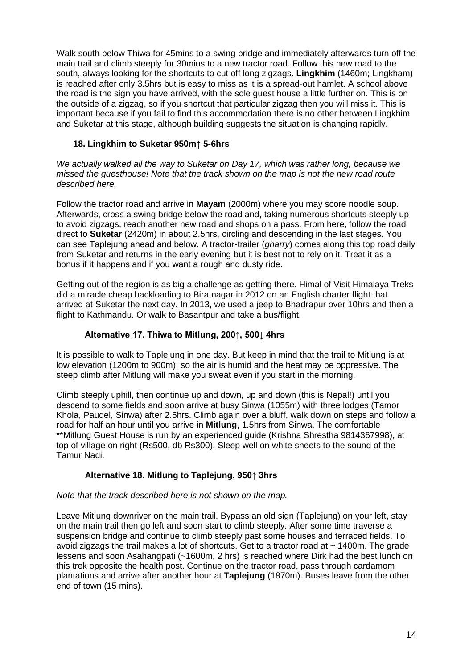Walk south below Thiwa for 45mins to a swing bridge and immediately afterwards turn off the main trail and climb steeply for 30mins to a new tractor road. Follow this new road to the south, always looking for the shortcuts to cut off long zigzags. **Lingkhim** (1460m; Lingkham) is reached after only 3.5hrs but is easy to miss as it is a spread-out hamlet. A school above the road is the sign you have arrived, with the sole guest house a little further on. This is on the outside of a zigzag, so if you shortcut that particular zigzag then you will miss it. This is important because if you fail to find this accommodation there is no other between Lingkhim and Suketar at this stage, although building suggests the situation is changing rapidly.

### **18. Lingkhim to Suketar 950m↑ 5-6hrs**

*We actually walked all the way to Suketar on Day 17, which was rather long, because we missed the guesthouse! Note that the track shown on the map is not the new road route described here.*

Follow the tractor road and arrive in **Mayam** (2000m) where you may score noodle soup. Afterwards, cross a swing bridge below the road and, taking numerous shortcuts steeply up to avoid zigzags, reach another new road and shops on a pass. From here, follow the road direct to **Suketar** (2420m) in about 2.5hrs, circling and descending in the last stages. You can see Taplejung ahead and below. A tractor-trailer (*gharry*) comes along this top road daily from Suketar and returns in the early evening but it is best not to rely on it. Treat it as a bonus if it happens and if you want a rough and dusty ride.

Getting out of the region is as big a challenge as getting there. Himal of Visit Himalaya Treks did a miracle cheap backloading to Biratnagar in 2012 on an English charter flight that arrived at Suketar the next day. In 2013, we used a jeep to Bhadrapur over 10hrs and then a flight to Kathmandu. Or walk to Basantpur and take a bus/flight.

### **Alternative 17. Thiwa to Mitlung, 200↑, 500↓ 4hrs**

It is possible to walk to Taplejung in one day. But keep in mind that the trail to Mitlung is at low elevation (1200m to 900m), so the air is humid and the heat may be oppressive. The steep climb after Mitlung will make you sweat even if you start in the morning.

Climb steeply uphill, then continue up and down, up and down (this is Nepal!) until you descend to some fields and soon arrive at busy Sinwa (1055m) with three lodges (Tamor Khola, Paudel, Sinwa) after 2.5hrs. Climb again over a bluff, walk down on steps and follow a road for half an hour until you arrive in **Mitlung**, 1.5hrs from Sinwa. The comfortable \*\*Mitlung Guest House is run by an experienced guide (Krishna Shrestha 9814367998), at top of village on right (Rs500, db Rs300). Sleep well on white sheets to the sound of the Tamur Nadi.

#### **Alternative 18. Mitlung to Taplejung, 950↑ 3hrs**

#### *Note that the track described here is not shown on the map.*

Leave Mitlung downriver on the main trail. Bypass an old sign (Taplejung) on your left, stay on the main trail then go left and soon start to climb steeply. After some time traverse a suspension bridge and continue to climb steeply past some houses and terraced fields. To avoid zigzags the trail makes a lot of shortcuts. Get to a tractor road at  $\sim$  1400m. The grade lessens and soon Asahangpati (~1600m, 2 hrs) is reached where Dirk had the best lunch on this trek opposite the health post. Continue on the tractor road, pass through cardamom plantations and arrive after another hour at **Taplejung** (1870m). Buses leave from the other end of town (15 mins).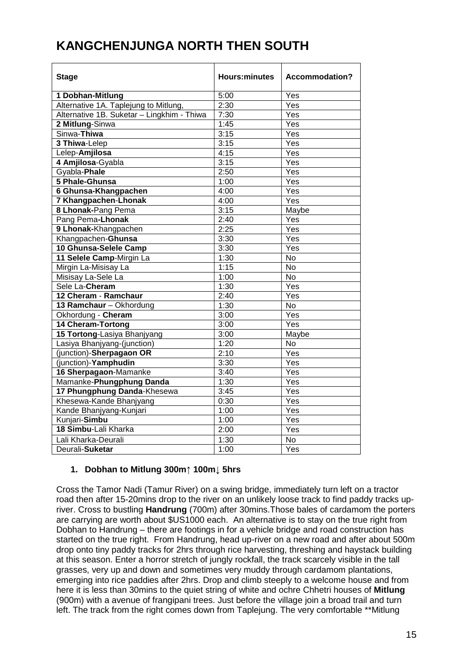# <span id="page-14-0"></span>**KANGCHENJUNGA NORTH THEN SOUTH**

| <b>Stage</b>                               | <b>Hours:minutes</b> | <b>Accommodation?</b> |
|--------------------------------------------|----------------------|-----------------------|
| 1 Dobhan-Mitlung                           | 5:00                 | Yes                   |
| Alternative 1A. Taplejung to Mitlung,      | 2:30                 | Yes                   |
| Alternative 1B. Suketar - Lingkhim - Thiwa | 7:30                 | Yes                   |
| 2 Mitlung-Sinwa                            | 1:45                 | Yes                   |
| Sinwa-Thiwa                                | 3:15                 | Yes                   |
| 3 Thiwa-Lelep                              | 3:15                 | Yes                   |
| Lelep-Amjilosa                             | 4:15                 | Yes                   |
| 4 Amjilosa-Gyabla                          | 3:15                 | Yes                   |
| Gyabla-Phale                               | 2:50                 | Yes                   |
| 5 Phale-Ghunsa                             | 1:00                 | Yes                   |
| 6 Ghunsa-Khangpachen                       | 4:00                 | Yes                   |
| 7 Khangpachen-Lhonak                       | 4:00                 | Yes                   |
| 8 Lhonak-Pang Pema                         | 3:15                 | Maybe                 |
| Pang Pema-Lhonak                           | 2:40                 | Yes                   |
| 9 Lhonak-Khangpachen                       | 2:25                 | Yes                   |
| Khangpachen-Ghunsa                         | 3:30                 | Yes                   |
| 10 Ghunsa-Selele Camp                      | 3:30                 | Yes                   |
| 11 Selele Camp-Mirgin La                   | 1:30                 | <b>No</b>             |
| Mirgin La-Misisay La                       | 1:15                 | $\overline{N}$        |
| Misisay La-Sele La                         | 1:00                 | $\overline{N}$        |
| Sele La-Cheram                             | 1:30                 | $\overline{Yes}$      |
| 12 Cheram - Ramchaur                       | 2:40                 | $\overline{Y}$ es     |
| 13 Ramchaur - Okhordung                    | 1:30                 | $\overline{N}$        |
| Okhordung - Cheram                         | 3:00                 | Yes                   |
| <b>14 Cheram-Tortong</b>                   | 3:00                 | Yes                   |
| 15 Tortong-Lasiya Bhanjyang                | 3:00                 | Maybe                 |
| Lasiya Bhanjyang-(junction)                | 1:20                 | $\overline{N}$        |
| (junction)-Sherpagaon OR                   | 2:10                 | Yes                   |
| (junction)-Yamphudin                       | 3:30                 | Yes                   |
| 16 Sherpagaon-Mamanke                      | 3:40                 | $\overline{Yes}$      |
| Mamanke-Phungphung Danda                   | 1:30                 | Yes                   |
| 17 Phungphung Danda-Khesewa                | 3:45                 | Yes                   |
| Khesewa-Kande Bhanjyang                    | 0:30                 | $\overline{Y}$ es     |
| Kande Bhanjyang-Kunjari                    | 1:00                 | Yes                   |
| Kunjari-Simbu                              | 1:00                 | $\overline{Yes}$      |
| 18 Simbu-Lali Kharka                       | 2:00                 | $\overline{Y}$ es     |
| Lali Kharka-Deurali                        | 1:30                 | <b>No</b>             |
| Deurali-Suketar                            | 1:00                 | Yes                   |

## **1. Dobhan to Mitlung 300m↑ 100m↓ 5hrs**

Cross the Tamor Nadi (Tamur River) on a swing bridge, immediately turn left on a tractor road then after 15-20mins drop to the river on an unlikely loose track to find paddy tracks upriver. Cross to bustling **Handrung** (700m) after 30mins.Those bales of cardamom the porters are carrying are worth about \$US1000 each. An alternative is to stay on the true right from Dobhan to Handrung – there are footings in for a vehicle bridge and road construction has started on the true right. From Handrung, head up-river on a new road and after about 500m drop onto tiny paddy tracks for 2hrs through rice harvesting, threshing and haystack building at this season. Enter a horror stretch of jungly rockfall, the track scarcely visible in the tall grasses, very up and down and sometimes very muddy through cardamom plantations, emerging into rice paddies after 2hrs. Drop and climb steeply to a welcome house and from here it is less than 30mins to the quiet string of white and ochre Chhetri houses of **Mitlung** (900m) with a avenue of frangipani trees. Just before the village join a broad trail and turn left. The track from the right comes down from Taplejung. The very comfortable \*\*Mitlung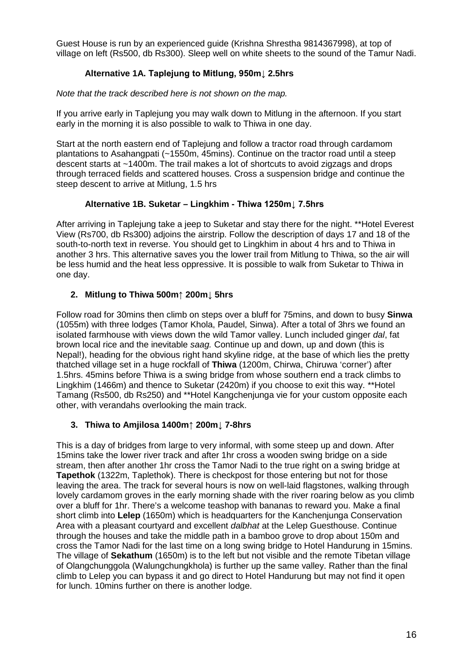Guest House is run by an experienced guide (Krishna Shrestha 9814367998), at top of village on left (Rs500, db Rs300). Sleep well on white sheets to the sound of the Tamur Nadi.

# **Alternative 1A. Taplejung to Mitlung, 950m↓ 2.5hrs**

### *Note that the track described here is not shown on the map.*

If you arrive early in Taplejung you may walk down to Mitlung in the afternoon. If you start early in the morning it is also possible to walk to Thiwa in one day.

Start at the north eastern end of Taplejung and follow a tractor road through cardamom plantations to Asahangpati (~1550m, 45mins). Continue on the tractor road until a steep descent starts at ~1400m. The trail makes a lot of shortcuts to avoid zigzags and drops through terraced fields and scattered houses. Cross a suspension bridge and continue the steep descent to arrive at Mitlung, 1.5 hrs

## **Alternative 1B. Suketar – Lingkhim - Thiwa 1250m↓ 7.5hrs**

After arriving in Taplejung take a jeep to Suketar and stay there for the night. \*\*Hotel Everest View (Rs700, db Rs300) adjoins the airstrip. Follow the description of days 17 and 18 of the south-to-north text in reverse. You should get to Lingkhim in about 4 hrs and to Thiwa in another 3 hrs. This alternative saves you the lower trail from Mitlung to Thiwa, so the air will be less humid and the heat less oppressive. It is possible to walk from Suketar to Thiwa in one day.

## **2. Mitlung to Thiwa 500m↑ 200m↓ 5hrs**

Follow road for 30mins then climb on steps over a bluff for 75mins, and down to busy **Sinwa** (1055m) with three lodges (Tamor Khola, Paudel, Sinwa). After a total of 3hrs we found an isolated farmhouse with views down the wild Tamor valley. Lunch included ginger *dal*, fat brown local rice and the inevitable *saag.* Continue up and down, up and down (this is Nepal!), heading for the obvious right hand skyline ridge, at the base of which lies the pretty thatched village set in a huge rockfall of **Thiwa** (1200m, Chirwa, Chiruwa 'corner') after 1.5hrs. 45mins before Thiwa is a swing bridge from whose southern end a track climbs to Lingkhim (1466m) and thence to Suketar (2420m) if you choose to exit this way. \*\*Hotel Tamang (Rs500, db Rs250) and \*\*Hotel Kangchenjunga vie for your custom opposite each other, with verandahs overlooking the main track.

## **3. Thiwa to Amjilosa 1400m↑ 200m↓ 7-8hrs**

This is a day of bridges from large to very informal, with some steep up and down. After 15mins take the lower river track and after 1hr cross a wooden swing bridge on a side stream, then after another 1hr cross the Tamor Nadi to the true right on a swing bridge at **Tapethok** (1322m, Taplethok). There is checkpost for those entering but not for those leaving the area. The track for several hours is now on well-laid flagstones, walking through lovely cardamom groves in the early morning shade with the river roaring below as you climb over a bluff for 1hr. There's a welcome teashop with bananas to reward you. Make a final short climb into **Lelep** (1650m) which is headquarters for the Kanchenjunga Conservation Area with a pleasant courtyard and excellent *dalbhat* at the Lelep Guesthouse. Continue through the houses and take the middle path in a bamboo grove to drop about 150m and cross the Tamor Nadi for the last time on a long swing bridge to Hotel Handurung in 15mins. The village of **Sekathum** (1650m) is to the left but not visible and the remote Tibetan village of Olangchunggola (Walungchungkhola) is further up the same valley. Rather than the final climb to Lelep you can bypass it and go direct to Hotel Handurung but may not find it open for lunch. 10mins further on there is another lodge.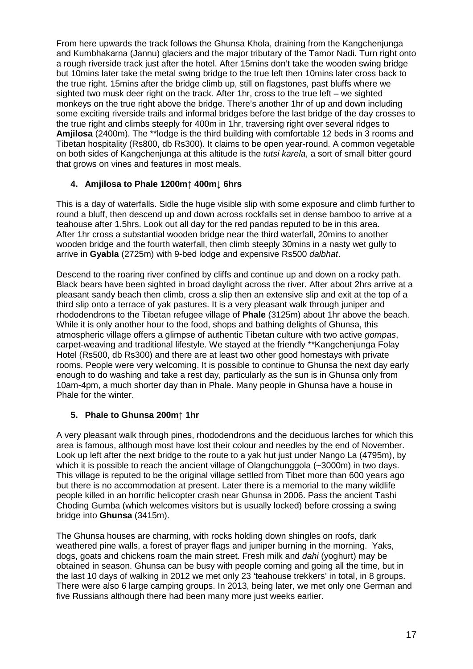From here upwards the track follows the Ghunsa Khola, draining from the Kangchenjunga and Kumbhakarna (Jannu) glaciers and the major tributary of the Tamor Nadi. Turn right onto a rough riverside track just after the hotel. After 15mins don't take the wooden swing bridge but 10mins later take the metal swing bridge to the true left then 10mins later cross back to the true right. 15mins after the bridge climb up, still on flagstones, past bluffs where we sighted two musk deer right on the track. After 1hr, cross to the true left – we sighted monkeys on the true right above the bridge. There's another 1hr of up and down including some exciting riverside trails and informal bridges before the last bridge of the day crosses to the true right and climbs steeply for 400m in 1hr, traversing right over several ridges to **Amjilosa** (2400m). The \*\*lodge is the third building with comfortable 12 beds in 3 rooms and Tibetan hospitality (Rs800, db Rs300). It claims to be open year-round. A common vegetable on both sides of Kangchenjunga at this altitude is the *tutsi karela*, a sort of small bitter gourd that grows on vines and features in most meals.

## **4. Amjilosa to Phale 1200m↑ 400m↓ 6hrs**

This is a day of waterfalls. Sidle the huge visible slip with some exposure and climb further to round a bluff, then descend up and down across rockfalls set in dense bamboo to arrive at a teahouse after 1.5hrs. Look out all day for the red pandas reputed to be in this area. After 1hr cross a substantial wooden bridge near the third waterfall, 20mins to another wooden bridge and the fourth waterfall, then climb steeply 30mins in a nasty wet gully to arrive in **Gyabla** (2725m) with 9-bed lodge and expensive Rs500 *dalbhat*.

Descend to the roaring river confined by cliffs and continue up and down on a rocky path. Black bears have been sighted in broad daylight across the river. After about 2hrs arrive at a pleasant sandy beach then climb, cross a slip then an extensive slip and exit at the top of a third slip onto a terrace of yak pastures. It is a very pleasant walk through juniper and rhododendrons to the Tibetan refugee village of **Phale** (3125m) about 1hr above the beach. While it is only another hour to the food, shops and bathing delights of Ghunsa, this atmospheric village offers a glimpse of authentic Tibetan culture with two active *gompas*, carpet-weaving and traditional lifestyle. We stayed at the friendly \*\*Kangchenjunga Folay Hotel (Rs500, db Rs300) and there are at least two other good homestays with private rooms. People were very welcoming. It is possible to continue to Ghunsa the next day early enough to do washing and take a rest day, particularly as the sun is in Ghunsa only from 10am-4pm, a much shorter day than in Phale. Many people in Ghunsa have a house in Phale for the winter.

#### **5. Phale to Ghunsa 200m↑ 1hr**

A very pleasant walk through pines, rhododendrons and the deciduous larches for which this area is famous, although most have lost their colour and needles by the end of November. Look up left after the next bridge to the route to a yak hut just under Nango La (4795m), by which it is possible to reach the ancient village of Olangchunggola (~3000m) in two days. This village is reputed to be the original village settled from Tibet more than 600 years ago but there is no accommodation at present. Later there is a memorial to the many wildlife people killed in an horrific helicopter crash near Ghunsa in 2006. Pass the ancient Tashi Choding Gumba (which welcomes visitors but is usually locked) before crossing a swing bridge into **Ghunsa** (3415m).

The Ghunsa houses are charming, with rocks holding down shingles on roofs, dark weathered pine walls, a forest of prayer flags and juniper burning in the morning. Yaks, dogs, goats and chickens roam the main street. Fresh milk and *dahi* (yoghurt) may be obtained in season. Ghunsa can be busy with people coming and going all the time, but in the last 10 days of walking in 2012 we met only 23 'teahouse trekkers' in total, in 8 groups. There were also 6 large camping groups. In 2013, being later, we met only one German and five Russians although there had been many more just weeks earlier.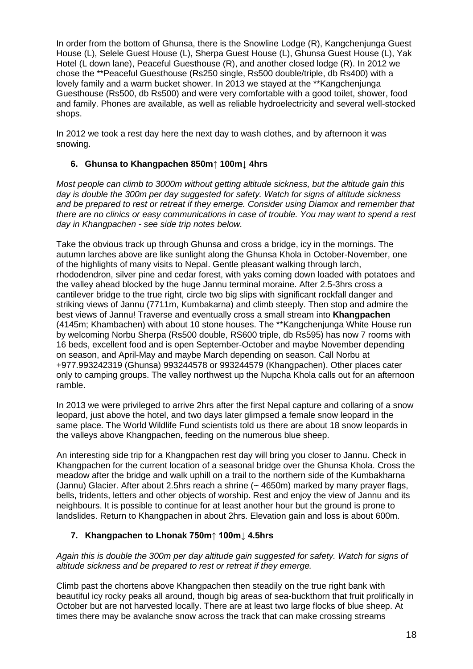In order from the bottom of Ghunsa, there is the Snowline Lodge (R), Kangchenjunga Guest House (L), Selele Guest House (L), Sherpa Guest House (L), Ghunsa Guest House (L), Yak Hotel (L down lane), Peaceful Guesthouse (R), and another closed lodge (R). In 2012 we chose the \*\*Peaceful Guesthouse (Rs250 single, Rs500 double/triple, db Rs400) with a lovely family and a warm bucket shower. In 2013 we stayed at the \*\*Kangchenjunga Guesthouse (Rs500, db Rs500) and were very comfortable with a good toilet, shower, food and family. Phones are available, as well as reliable hydroelectricity and several well-stocked shops.

In 2012 we took a rest day here the next day to wash clothes, and by afternoon it was snowing.

### **6. Ghunsa to Khangpachen 850m↑ 100m↓ 4hrs**

*Most people can climb to 3000m without getting altitude sickness, but the altitude gain this day is double the 300m per day suggested for safety. Watch for signs of altitude sickness and be prepared to rest or retreat if they emerge. Consider using Diamox and remember that there are no clinics or easy communications in case of trouble. You may want to spend a rest day in Khangpachen - see side trip notes below.*

Take the obvious track up through Ghunsa and cross a bridge, icy in the mornings. The autumn larches above are like sunlight along the Ghunsa Khola in October-November, one of the highlights of many visits to Nepal. Gentle pleasant walking through larch, rhododendron, silver pine and cedar forest, with yaks coming down loaded with potatoes and the valley ahead blocked by the huge Jannu terminal moraine. After 2.5-3hrs cross a cantilever bridge to the true right, circle two big slips with significant rockfall danger and striking views of Jannu (7711m, Kumbakarna) and climb steeply. Then stop and admire the best views of Jannu! Traverse and eventually cross a small stream into **Khangpachen** (4145m; Khambachen) with about 10 stone houses. The \*\*Kangchenjunga White House run by welcoming Norbu Sherpa (Rs500 double, RS600 triple, db Rs595) has now 7 rooms with 16 beds, excellent food and is open September-October and maybe November depending on season, and April-May and maybe March depending on season. Call Norbu at +977.993242319 (Ghunsa) 993244578 or 993244579 (Khangpachen). Other places cater only to camping groups. The valley northwest up the Nupcha Khola calls out for an afternoon ramble.

In 2013 we were privileged to arrive 2hrs after the first Nepal capture and collaring of a snow leopard, just above the hotel, and two days later glimpsed a female snow leopard in the same place. The World Wildlife Fund scientists told us there are about 18 snow leopards in the valleys above Khangpachen, feeding on the numerous blue sheep.

An interesting side trip for a Khangpachen rest day will bring you closer to Jannu. Check in Khangpachen for the current location of a seasonal bridge over the Ghunsa Khola. Cross the meadow after the bridge and walk uphill on a trail to the northern side of the Kumbakharna (Jannu) Glacier. After about 2.5hrs reach a shrine (~ 4650m) marked by many prayer flags, bells, tridents, letters and other objects of worship. Rest and enjoy the view of Jannu and its neighbours. It is possible to continue for at least another hour but the ground is prone to landslides. Return to Khangpachen in about 2hrs. Elevation gain and loss is about 600m.

## **7. Khangpachen to Lhonak 750m↑ 100m↓ 4.5hrs**

*Again this is double the 300m per day altitude gain suggested for safety. Watch for signs of altitude sickness and be prepared to rest or retreat if they emerge.*

Climb past the chortens above Khangpachen then steadily on the true right bank with beautiful icy rocky peaks all around, though big areas of sea-buckthorn that fruit prolifically in October but are not harvested locally. There are at least two large flocks of blue sheep. At times there may be avalanche snow across the track that can make crossing streams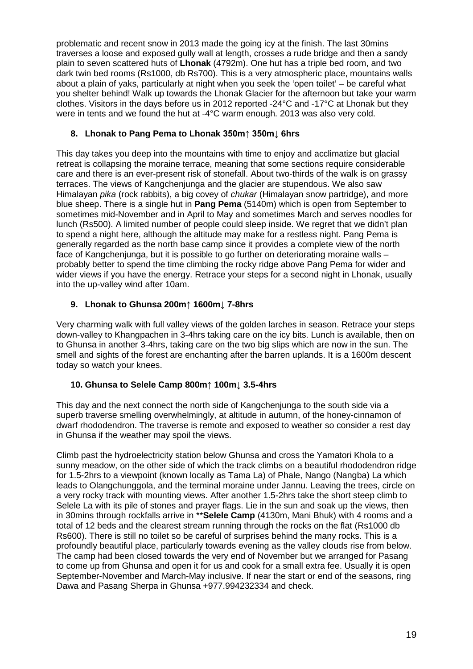problematic and recent snow in 2013 made the going icy at the finish. The last 30mins traverses a loose and exposed gully wall at length, crosses a rude bridge and then a sandy plain to seven scattered huts of **Lhonak** (4792m). One hut has a triple bed room, and two dark twin bed rooms (Rs1000, db Rs700). This is a very atmospheric place, mountains walls about a plain of yaks, particularly at night when you seek the 'open toilet' – be careful what you shelter behind! Walk up towards the Lhonak Glacier for the afternoon but take your warm clothes. Visitors in the days before us in 2012 reported -24°C and -17°C at Lhonak but they were in tents and we found the hut at -4°C warm enough. 2013 was also very cold.

# **8. Lhonak to Pang Pema to Lhonak 350m↑ 350m↓ 6hrs**

This day takes you deep into the mountains with time to enjoy and acclimatize but glacial retreat is collapsing the moraine terrace, meaning that some sections require considerable care and there is an ever-present risk of stonefall. About two-thirds of the walk is on grassy terraces. The views of Kangchenjunga and the glacier are stupendous. We also saw Himalayan *pika* (rock rabbits), a big covey of *chukar* (Himalayan snow partridge), and more blue sheep. There is a single hut in **Pang Pema** (5140m) which is open from September to sometimes mid-November and in April to May and sometimes March and serves noodles for lunch (Rs500). A limited number of people could sleep inside. We regret that we didn't plan to spend a night here, although the altitude may make for a restless night. Pang Pema is generally regarded as the north base camp since it provides a complete view of the north face of Kangchenjunga, but it is possible to go further on deteriorating moraine walls – probably better to spend the time climbing the rocky ridge above Pang Pema for wider and wider views if you have the energy. Retrace your steps for a second night in Lhonak, usually into the up-valley wind after 10am.

# **9. Lhonak to Ghunsa 200m↑ 1600m↓ 7-8hrs**

Very charming walk with full valley views of the golden larches in season. Retrace your steps down-valley to Khangpachen in 3-4hrs taking care on the icy bits. Lunch is available, then on to Ghunsa in another 3-4hrs, taking care on the two big slips which are now in the sun. The smell and sights of the forest are enchanting after the barren uplands. It is a 1600m descent today so watch your knees.

## **10. Ghunsa to Selele Camp 800m↑ 100m↓ 3.5-4hrs**

This day and the next connect the north side of Kangchenjunga to the south side via a superb traverse smelling overwhelmingly, at altitude in autumn, of the honey-cinnamon of dwarf rhododendron. The traverse is remote and exposed to weather so consider a rest day in Ghunsa if the weather may spoil the views.

Climb past the hydroelectricity station below Ghunsa and cross the Yamatori Khola to a sunny meadow, on the other side of which the track climbs on a beautiful rhododendron ridge for 1.5-2hrs to a viewpoint (known locally as Tama La) of Phale, Nango (Nangba) La which leads to Olangchunggola, and the terminal moraine under Jannu. Leaving the trees, circle on a very rocky track with mounting views. After another 1.5-2hrs take the short steep climb to Selele La with its pile of stones and prayer flags. Lie in the sun and soak up the views, then in 30mins through rockfalls arrive in \*\***Selele Camp** (4130m, Mani Bhuk) with 4 rooms and a total of 12 beds and the clearest stream running through the rocks on the flat (Rs1000 db Rs600). There is still no toilet so be careful of surprises behind the many rocks. This is a profoundly beautiful place, particularly towards evening as the valley clouds rise from below. The camp had been closed towards the very end of November but we arranged for Pasang to come up from Ghunsa and open it for us and cook for a small extra fee. Usually it is open September-November and March-May inclusive. If near the start or end of the seasons, ring Dawa and Pasang Sherpa in Ghunsa +977.994232334 and check.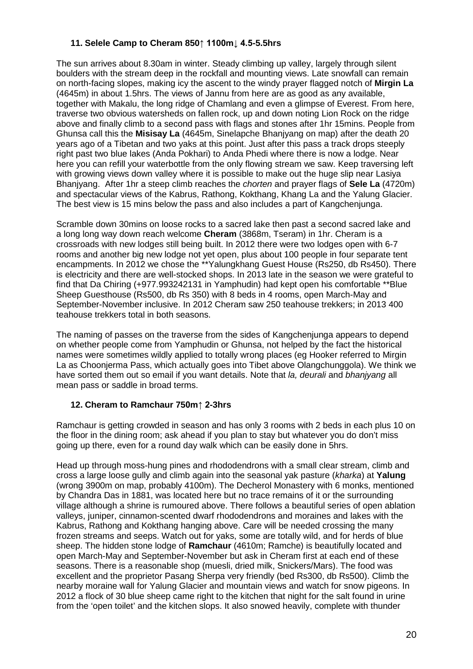#### **11. Selele Camp to Cheram 850↑ 1100m↓ 4.5-5.5hrs**

The sun arrives about 8.30am in winter. Steady climbing up valley, largely through silent boulders with the stream deep in the rockfall and mounting views. Late snowfall can remain on north-facing slopes, making icy the ascent to the windy prayer flagged notch of **Mirgin La** (4645m) in about 1.5hrs. The views of Jannu from here are as good as any available, together with Makalu, the long ridge of Chamlang and even a glimpse of Everest. From here, traverse two obvious watersheds on fallen rock, up and down noting Lion Rock on the ridge above and finally climb to a second pass with flags and stones after 1hr 15mins. People from Ghunsa call this the **Misisay La** (4645m, Sinelapche Bhanjyang on map) after the death 20 years ago of a Tibetan and two yaks at this point. Just after this pass a track drops steeply right past two blue lakes (Anda Pokhari) to Anda Phedi where there is now a lodge. Near here you can refill your waterbottle from the only flowing stream we saw. Keep traversing left with growing views down valley where it is possible to make out the huge slip near Lasiya Bhanjyang. After 1hr a steep climb reaches the *chorten* and prayer flags of **Sele La** (4720m) and spectacular views of the Kabrus, Rathong, Kokthang, Khang La and the Yalung Glacier. The best view is 15 mins below the pass and also includes a part of Kangchenjunga.

Scramble down 30mins on loose rocks to a sacred lake then past a second sacred lake and a long long way down reach welcome **Cheram** (3868m, Tseram) in 1hr. Cheram is a crossroads with new lodges still being built. In 2012 there were two lodges open with 6-7 rooms and another big new lodge not yet open, plus about 100 people in four separate tent encampments. In 2012 we chose the \*\*Yalungkhang Guest House (Rs250, db Rs450). There is electricity and there are well-stocked shops. In 2013 late in the season we were grateful to find that Da Chiring (+977.993242131 in Yamphudin) had kept open his comfortable \*\*Blue Sheep Guesthouse (Rs500, db Rs 350) with 8 beds in 4 rooms, open March-May and September-November inclusive. In 2012 Cheram saw 250 teahouse trekkers; in 2013 400 teahouse trekkers total in both seasons.

The naming of passes on the traverse from the sides of Kangchenjunga appears to depend on whether people come from Yamphudin or Ghunsa, not helped by the fact the historical names were sometimes wildly applied to totally wrong places (eg Hooker referred to Mirgin La as Choonjerma Pass, which actually goes into Tibet above Olangchunggola). We think we have sorted them out so email if you want details. Note that *la, deurali* and *bhanjyang* all mean pass or saddle in broad terms.

## **12. Cheram to Ramchaur 750m↑ 2-3hrs**

Ramchaur is getting crowded in season and has only 3 rooms with 2 beds in each plus 10 on the floor in the dining room; ask ahead if you plan to stay but whatever you do don't miss going up there, even for a round day walk which can be easily done in 5hrs.

Head up through moss-hung pines and rhododendrons with a small clear stream, climb and cross a large loose gully and climb again into the seasonal yak pasture (*kharka*) at **Yalung** (wrong 3900m on map, probably 4100m). The Decherol Monastery with 6 monks, mentioned by Chandra Das in 1881, was located here but no trace remains of it or the surrounding village although a shrine is rumoured above. There follows a beautiful series of open ablation valleys, juniper, cinnamon-scented dwarf rhododendrons and moraines and lakes with the Kabrus, Rathong and Kokthang hanging above. Care will be needed crossing the many frozen streams and seeps. Watch out for yaks, some are totally wild, and for herds of blue sheep. The hidden stone lodge of **Ramchaur** (4610m; Ramche) is beautifully located and open March-May and September-November but ask in Cheram first at each end of these seasons. There is a reasonable shop (muesli, dried milk, Snickers/Mars). The food was excellent and the proprietor Pasang Sherpa very friendly (bed Rs300, db Rs500). Climb the nearby moraine wall for Yalung Glacier and mountain views and watch for snow pigeons. In 2012 a flock of 30 blue sheep came right to the kitchen that night for the salt found in urine from the 'open toilet' and the kitchen slops. It also snowed heavily, complete with thunder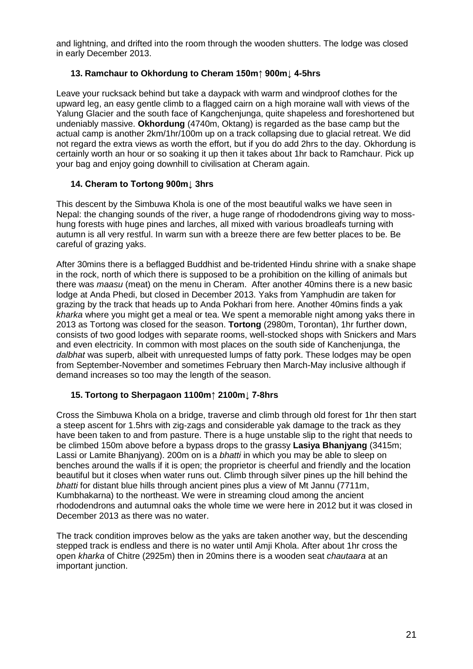and lightning, and drifted into the room through the wooden shutters. The lodge was closed in early December 2013.

### **13. Ramchaur to Okhordung to Cheram 150m↑ 900m↓ 4-5hrs**

Leave your rucksack behind but take a daypack with warm and windproof clothes for the upward leg, an easy gentle climb to a flagged cairn on a high moraine wall with views of the Yalung Glacier and the south face of Kangchenjunga, quite shapeless and foreshortened but undeniably massive. **Okhordung** (4740m, Oktang) is regarded as the base camp but the actual camp is another 2km/1hr/100m up on a track collapsing due to glacial retreat. We did not regard the extra views as worth the effort, but if you do add 2hrs to the day. Okhordung is certainly worth an hour or so soaking it up then it takes about 1hr back to Ramchaur. Pick up your bag and enjoy going downhill to civilisation at Cheram again.

### **14. Cheram to Tortong 900m↓ 3hrs**

This descent by the Simbuwa Khola is one of the most beautiful walks we have seen in Nepal: the changing sounds of the river, a huge range of rhododendrons giving way to mosshung forests with huge pines and larches, all mixed with various broadleafs turning with autumn is all very restful. In warm sun with a breeze there are few better places to be. Be careful of grazing yaks.

After 30mins there is a beflagged Buddhist and be-tridented Hindu shrine with a snake shape in the rock, north of which there is supposed to be a prohibition on the killing of animals but there was *maasu* (meat) on the menu in Cheram. After another 40mins there is a new basic lodge at Anda Phedi, but closed in December 2013. Yaks from Yamphudin are taken for grazing by the track that heads up to Anda Pokhari from here. Another 40mins finds a yak *kharka* where you might get a meal or tea. We spent a memorable night among yaks there in 2013 as Tortong was closed for the season. **Tortong** (2980m, Torontan), 1hr further down, consists of two good lodges with separate rooms, well-stocked shops with Snickers and Mars and even electricity. In common with most places on the south side of Kanchenjunga, the *dalbhat* was superb, albeit with unrequested lumps of fatty pork. These lodges may be open from September-November and sometimes February then March-May inclusive although if demand increases so too may the length of the season.

#### **15. Tortong to Sherpagaon 1100m↑ 2100m↓ 7-8hrs**

Cross the Simbuwa Khola on a bridge, traverse and climb through old forest for 1hr then start a steep ascent for 1.5hrs with zig-zags and considerable yak damage to the track as they have been taken to and from pasture. There is a huge unstable slip to the right that needs to be climbed 150m above before a bypass drops to the grassy **Lasiya Bhanjyang** (3415m; Lassi or Lamite Bhanjyang). 200m on is a *bhatti* in which you may be able to sleep on benches around the walls if it is open; the proprietor is cheerful and friendly and the location beautiful but it closes when water runs out. Climb through silver pines up the hill behind the *bhatti* for distant blue hills through ancient pines plus a view of Mt Jannu (7711m, Kumbhakarna) to the northeast. We were in streaming cloud among the ancient rhododendrons and autumnal oaks the whole time we were here in 2012 but it was closed in December 2013 as there was no water.

The track condition improves below as the yaks are taken another way, but the descending stepped track is endless and there is no water until Amji Khola. After about 1hr cross the open *kharka* of Chitre (2925m) then in 20mins there is a wooden seat *chautaara* at an important junction.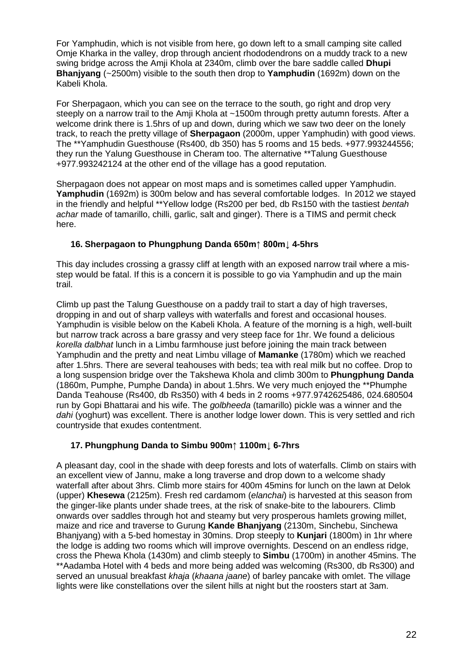For Yamphudin, which is not visible from here, go down left to a small camping site called Omje Kharka in the valley, drop through ancient rhododendrons on a muddy track to a new swing bridge across the Amji Khola at 2340m, climb over the bare saddle called **Dhupi Bhanjyang** (~2500m) visible to the south then drop to **Yamphudin** (1692m) down on the Kabeli Khola.

For Sherpagaon, which you can see on the terrace to the south, go right and drop very steeply on a narrow trail to the Amii Khola at ~1500m through pretty autumn forests. After a welcome drink there is 1.5hrs of up and down, during which we saw two deer on the lonely track, to reach the pretty village of **Sherpagaon** (2000m, upper Yamphudin) with good views. The \*\*Yamphudin Guesthouse (Rs400, db 350) has 5 rooms and 15 beds. +977.993244556; they run the Yalung Guesthouse in Cheram too. The alternative \*\*Talung Guesthouse +977.993242124 at the other end of the village has a good reputation.

Sherpagaon does not appear on most maps and is sometimes called upper Yamphudin. **Yamphudin** (1692m) is 300m below and has several comfortable lodges. In 2012 we stayed in the friendly and helpful \*\*Yellow lodge (Rs200 per bed, db Rs150 with the tastiest *bentah achar* made of tamarillo, chilli, garlic, salt and ginger). There is a TIMS and permit check here.

### **16. Sherpagaon to Phungphung Danda 650m↑ 800m↓ 4-5hrs**

This day includes crossing a grassy cliff at length with an exposed narrow trail where a misstep would be fatal. If this is a concern it is possible to go via Yamphudin and up the main trail.

Climb up past the Talung Guesthouse on a paddy trail to start a day of high traverses, dropping in and out of sharp valleys with waterfalls and forest and occasional houses. Yamphudin is visible below on the Kabeli Khola. A feature of the morning is a high, well-built but narrow track across a bare grassy and very steep face for 1hr. We found a delicious *korella dalbhat* lunch in a Limbu farmhouse just before joining the main track between Yamphudin and the pretty and neat Limbu village of **Mamanke** (1780m) which we reached after 1.5hrs. There are several teahouses with beds; tea with real milk but no coffee. Drop to a long suspension bridge over the Takshewa Khola and climb 300m to **Phungphung Danda**  (1860m, Pumphe, Pumphe Danda) in about 1.5hrs. We very much enjoyed the \*\*Phumphe Danda Teahouse (Rs400, db Rs350) with 4 beds in 2 rooms +977.9742625486, 024.680504 run by Gopi Bhattarai and his wife. The *golbheeda* (tamarillo) pickle was a winner and the *dahi* (yoghurt) was excellent. There is another lodge lower down. This is very settled and rich countryside that exudes contentment.

## **17. Phungphung Danda to Simbu 900m↑ 1100m↓ 6-7hrs**

A pleasant day, cool in the shade with deep forests and lots of waterfalls. Climb on stairs with an excellent view of Jannu, make a long traverse and drop down to a welcome shady waterfall after about 3hrs. Climb more stairs for 400m 45mins for lunch on the lawn at Delok (upper) **Khesewa** (2125m). Fresh red cardamom (*elanchai*) is harvested at this season from the ginger-like plants under shade trees, at the risk of snake-bite to the labourers. Climb onwards over saddles through hot and steamy but very prosperous hamlets growing millet, maize and rice and traverse to Gurung **Kande Bhanjyang** (2130m, Sinchebu, Sinchewa Bhanjyang) with a 5-bed homestay in 30mins. Drop steeply to **Kunjari** (1800m) in 1hr where the lodge is adding two rooms which will improve overnights. Descend on an endless ridge, cross the Phewa Khola (1430m) and climb steeply to **Simbu** (1700m) in another 45mins. The \*\*Aadamba Hotel with 4 beds and more being added was welcoming (Rs300, db Rs300) and served an unusual breakfast *khaja* (*khaana jaane*) of barley pancake with omlet. The village lights were like constellations over the silent hills at night but the roosters start at 3am.